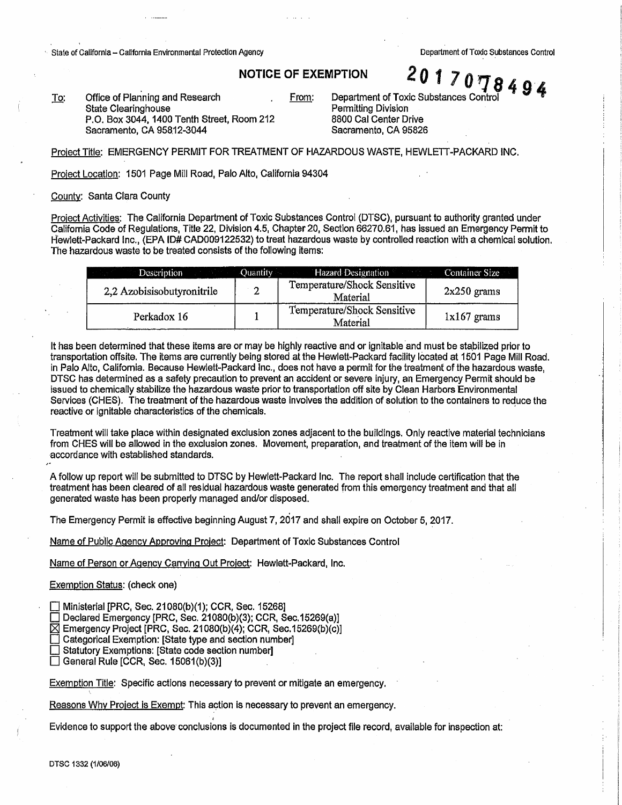↑ State of California - California Environmental Protection Agency Department of Toxic Substances Control

•i

Office of Planning and Research To: State Clearinghouse P.O. Box 3044, 1400 Tenth Street, Room212 Sacramento, CA 95812-3044

**NOTICE OF EXEMPTION 201707849**<br>From: Department of Toxic Substances Control Permitting Division 8800 Cal Center Drive Sacramento, CA 95826

Project Title: EMERGENCY PERMIT FOR TREATMENT OF HAZARDOUS WASTE, HEWLETT-PACKARD **INC.** 

Project Location: 1501 Page Mill Road, Palo Alto, California 94304

County: Santa Clara County

Project Activities: The California Department of Toxic Substances Control (DTSC), pursuant to authority granted under California Code of Regulations, Title 22, Division 4.5, Chapter 20, Section 66270.61, has issued an Emergency Permit to 1-fewlett-Packard Inc., (EPA ID# CAD009122532) to treat hazardous waste by controlled reaction with a chemical solution. The hazardous waste to be treated consists of the following items:

| <b>Description Quantity</b> |   | <b>Example 2.1 Hazard Designation</b>   | Container Size |
|-----------------------------|---|-----------------------------------------|----------------|
| 2,2 Azobisisobutyronitrile  | ຳ | Temperature/Shock Sensitive<br>Material | $2x250$ grams  |
| Perkadox 16                 |   | Temperature/Shock Sensitive<br>Material | $1x167$ grams  |

It has been determined that these items are or may be highly reactive and or ignitable and must be stabilized prior to transportation offsite. The items are currently being stored at the Hewlett-Packard facility located at 1501 Page Mill Road. in Palo Alto, California. Because Hewlett-Packard Inc., does not have a permit for the treatment of the hazardous waste. DTSC has determined as a safety precaution to prevent an accident or severe injury, an Emergency Permit should be issued to chemically stabilize the hazardous waste prior to transportation off site by Clean Harbors Environmental Services (CHES). The treatment of the hazardous waste involves the addition of solution to the containers to reduce the reactive or ignitable characteristics of the chemicals. '

Treatment will take place within designated exclusion zones adjacent to the buildings. Only reactive material technicians from CHES will be allowed in the exclusion zones. Movement, preparation. and treatment of the item will be in -accordance with established standards.

A follow up report will be submitted to DTSC by Hewlett-Packard Inc. The report shall include certification that the treatment has been cleared of all residual hazardous waste generated from this emergency treatment and that all generated waste has been properly managed and/or disposed.

The Emergency Permit is effective beginning August 7, 2017 and shall expire on October 5, 2017.

Name of Public Agency Approving Project: Department of Toxic Substances Control

Name of Person or Agency Carrying Out Project: Hewlett-Packard, Inc.

Exemption Status: (check one)

Ministerial [PRC, Sec. 21080(b)(1); CCR, Sec. 15268]

 $\Box$  Declared Emergency [PRC, Sec. 21080(b)(3); CCR, Sec.15269(a)]

 $\boxtimes$  Emergency Project [PRC, Sec. 21080(b)(4); CCR, Sec.15269(b)(c)]

Categorical Exemption: [State type and section number]

Statutory Exemptions: [State code section number]

 $\Box$  General Rule [CCR, Sec. 15061(b)(3)]

Exemption Title: Specific actions necessary to prevent or mitigate an emergency.

Reasons Why Project is Exempt: This action is necessary to prevent an emergency.

*!*  Evidence to support the above conclusions is documented in the project file record, available for inspection at:

DTSC 1332 (1/06/06)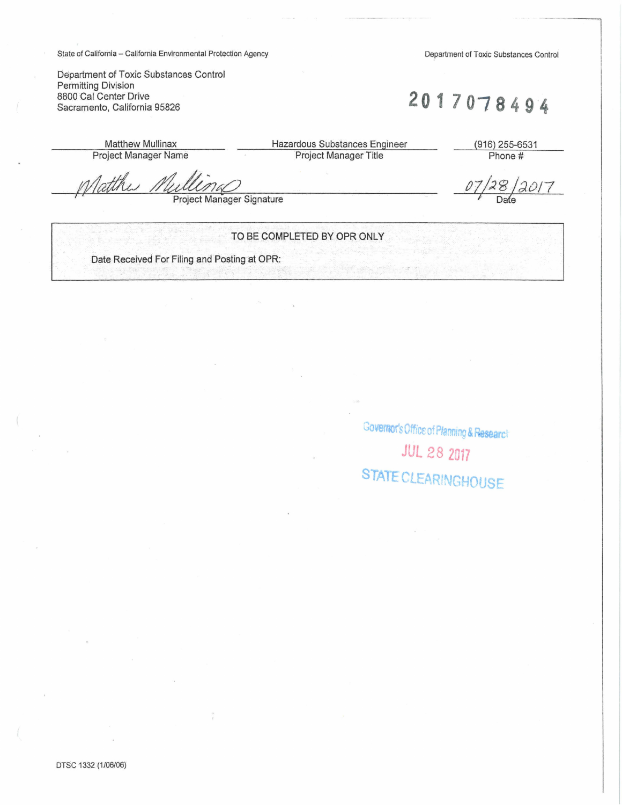State of California - California Environmental Protection Agency

Department of Toxic Substances Control

Department of Toxic Substances Control Permitting Division 8800 Cal Center Drive Sacramento, California 95826

2017078494

07

**Matthew Mullinax Project Manager Name**  Hazardous Substances Engineer Project Manager Title

(916) 255-6531 Phone #

 $\frac{128}{2017}$ 

Tatthi

**Project Manager Signature** 

## TO BE COMPLETED BY OPR ONLY

Date Received For Filing and Posting at OPR:

Governor's Office of Planning & Research **JUL 28 2017** STATE CLEARINGHOUSE